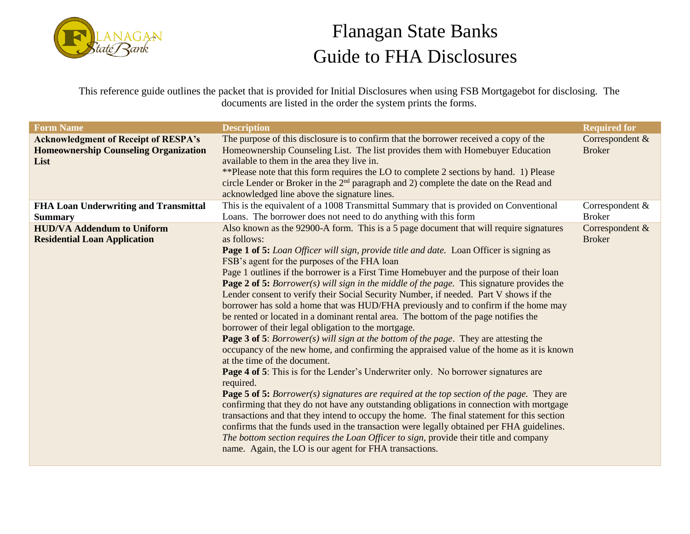

This reference guide outlines the packet that is provided for Initial Disclosures when using FSB Mortgagebot for disclosing. The documents are listed in the order the system prints the forms.

| <b>Form Name</b>                             | <b>Description</b>                                                                                                                                                                                                                                                                                                                         | <b>Required for</b> |
|----------------------------------------------|--------------------------------------------------------------------------------------------------------------------------------------------------------------------------------------------------------------------------------------------------------------------------------------------------------------------------------------------|---------------------|
| <b>Acknowledgment of Receipt of RESPA's</b>  | The purpose of this disclosure is to confirm that the borrower received a copy of the                                                                                                                                                                                                                                                      | Correspondent &     |
| <b>Homeownership Counseling Organization</b> | Homeownership Counseling List. The list provides them with Homebuyer Education                                                                                                                                                                                                                                                             | <b>Broker</b>       |
| List                                         | available to them in the area they live in.<br>**Please note that this form requires the LO to complete 2 sections by hand. 1) Please                                                                                                                                                                                                      |                     |
|                                              | circle Lender or Broker in the 2 <sup>nd</sup> paragraph and 2) complete the date on the Read and                                                                                                                                                                                                                                          |                     |
|                                              | acknowledged line above the signature lines.                                                                                                                                                                                                                                                                                               |                     |
| FHA Loan Underwriting and Transmittal        | This is the equivalent of a 1008 Transmittal Summary that is provided on Conventional                                                                                                                                                                                                                                                      | Correspondent $&$   |
| <b>Summary</b>                               | Loans. The borrower does not need to do anything with this form                                                                                                                                                                                                                                                                            | <b>Broker</b>       |
| <b>HUD/VA Addendum to Uniform</b>            | Also known as the 92900-A form. This is a 5 page document that will require signatures                                                                                                                                                                                                                                                     | Correspondent &     |
| <b>Residential Loan Application</b>          | as follows:                                                                                                                                                                                                                                                                                                                                | <b>Broker</b>       |
|                                              | <b>Page 1 of 5:</b> Loan Officer will sign, provide title and date. Loan Officer is signing as                                                                                                                                                                                                                                             |                     |
|                                              | FSB's agent for the purposes of the FHA loan                                                                                                                                                                                                                                                                                               |                     |
|                                              | Page 1 outlines if the borrower is a First Time Homebuyer and the purpose of their loan                                                                                                                                                                                                                                                    |                     |
|                                              | <b>Page 2 of 5:</b> Borrower(s) will sign in the middle of the page. This signature provides the                                                                                                                                                                                                                                           |                     |
|                                              | Lender consent to verify their Social Security Number, if needed. Part V shows if the                                                                                                                                                                                                                                                      |                     |
|                                              | borrower has sold a home that was HUD/FHA previously and to confirm if the home may                                                                                                                                                                                                                                                        |                     |
|                                              | be rented or located in a dominant rental area. The bottom of the page notifies the                                                                                                                                                                                                                                                        |                     |
|                                              | borrower of their legal obligation to the mortgage.                                                                                                                                                                                                                                                                                        |                     |
|                                              | <b>Page 3 of 5:</b> Borrower(s) will sign at the bottom of the page. They are attesting the                                                                                                                                                                                                                                                |                     |
|                                              | occupancy of the new home, and confirming the appraised value of the home as it is known                                                                                                                                                                                                                                                   |                     |
|                                              | at the time of the document.                                                                                                                                                                                                                                                                                                               |                     |
|                                              | <b>Page 4 of 5:</b> This is for the Lender's Underwriter only. No borrower signatures are                                                                                                                                                                                                                                                  |                     |
|                                              | required.                                                                                                                                                                                                                                                                                                                                  |                     |
|                                              | <b>Page 5 of 5:</b> Borrower(s) signatures are required at the top section of the page. They are                                                                                                                                                                                                                                           |                     |
|                                              | confirming that they do not have any outstanding obligations in connection with mortgage                                                                                                                                                                                                                                                   |                     |
|                                              |                                                                                                                                                                                                                                                                                                                                            |                     |
|                                              |                                                                                                                                                                                                                                                                                                                                            |                     |
|                                              |                                                                                                                                                                                                                                                                                                                                            |                     |
|                                              |                                                                                                                                                                                                                                                                                                                                            |                     |
|                                              | transactions and that they intend to occupy the home. The final statement for this section<br>confirms that the funds used in the transaction were legally obtained per FHA guidelines.<br>The bottom section requires the Loan Officer to sign, provide their title and company<br>name. Again, the LO is our agent for FHA transactions. |                     |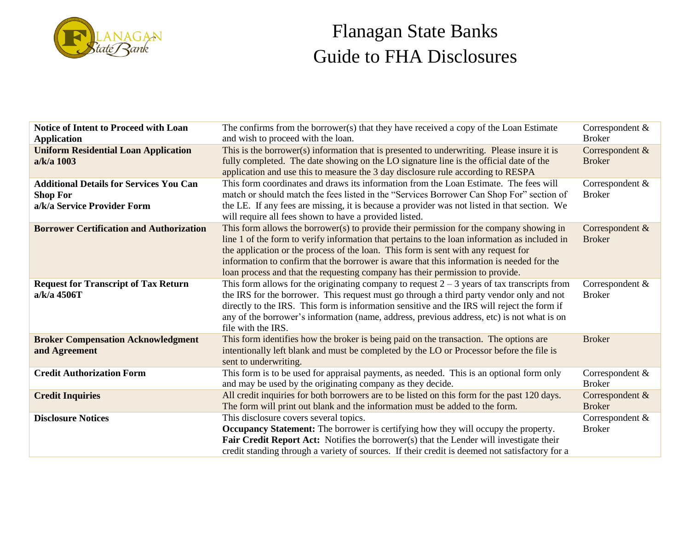

| <b>Notice of Intent to Proceed with Loan</b><br><b>Application</b>                               | The confirms from the borrower(s) that they have received a copy of the Loan Estimate<br>and wish to proceed with the loan.                                                                                                                                                                                                                                                                                                                                  | Correspondent &<br><b>Broker</b>   |
|--------------------------------------------------------------------------------------------------|--------------------------------------------------------------------------------------------------------------------------------------------------------------------------------------------------------------------------------------------------------------------------------------------------------------------------------------------------------------------------------------------------------------------------------------------------------------|------------------------------------|
| <b>Uniform Residential Loan Application</b><br>a/k/a 1003                                        | This is the borrower(s) information that is presented to underwriting. Please insure it is<br>fully completed. The date showing on the LO signature line is the official date of the<br>application and use this to measure the 3 day disclosure rule according to RESPA                                                                                                                                                                                     | Correspondent &<br><b>Broker</b>   |
| <b>Additional Details for Services You Can</b><br><b>Shop For</b><br>a/k/a Service Provider Form | This form coordinates and draws its information from the Loan Estimate. The fees will<br>match or should match the fees listed in the "Services Borrower Can Shop For" section of<br>the LE. If any fees are missing, it is because a provider was not listed in that section. We<br>will require all fees shown to have a provided listed.                                                                                                                  | Correspondent &<br><b>Broker</b>   |
| <b>Borrower Certification and Authorization</b>                                                  | This form allows the borrower(s) to provide their permission for the company showing in<br>line 1 of the form to verify information that pertains to the loan information as included in<br>the application or the process of the loan. This form is sent with any request for<br>information to confirm that the borrower is aware that this information is needed for the<br>loan process and that the requesting company has their permission to provide. | Correspondent &<br><b>Broker</b>   |
| <b>Request for Transcript of Tax Return</b><br>a/k/a 4506T                                       | This form allows for the originating company to request $2 - 3$ years of tax transcripts from<br>the IRS for the borrower. This request must go through a third party vendor only and not<br>directly to the IRS. This form is information sensitive and the IRS will reject the form if<br>any of the borrower's information (name, address, previous address, etc) is not what is on<br>file with the IRS.                                                 | Correspondent &<br><b>Broker</b>   |
| <b>Broker Compensation Acknowledgment</b><br>and Agreement                                       | This form identifies how the broker is being paid on the transaction. The options are<br>intentionally left blank and must be completed by the LO or Processor before the file is<br>sent to underwriting.                                                                                                                                                                                                                                                   | <b>Broker</b>                      |
| <b>Credit Authorization Form</b>                                                                 | This form is to be used for appraisal payments, as needed. This is an optional form only<br>and may be used by the originating company as they decide.                                                                                                                                                                                                                                                                                                       | Correspondent &<br><b>Broker</b>   |
| <b>Credit Inquiries</b>                                                                          | All credit inquiries for both borrowers are to be listed on this form for the past 120 days.<br>The form will print out blank and the information must be added to the form.                                                                                                                                                                                                                                                                                 | Correspondent &<br><b>Broker</b>   |
| <b>Disclosure Notices</b>                                                                        | This disclosure covers several topics.<br><b>Occupancy Statement:</b> The borrower is certifying how they will occupy the property.<br>Fair Credit Report Act: Notifies the borrower(s) that the Lender will investigate their<br>credit standing through a variety of sources. If their credit is deemed not satisfactory for a                                                                                                                             | Correspondent $&$<br><b>Broker</b> |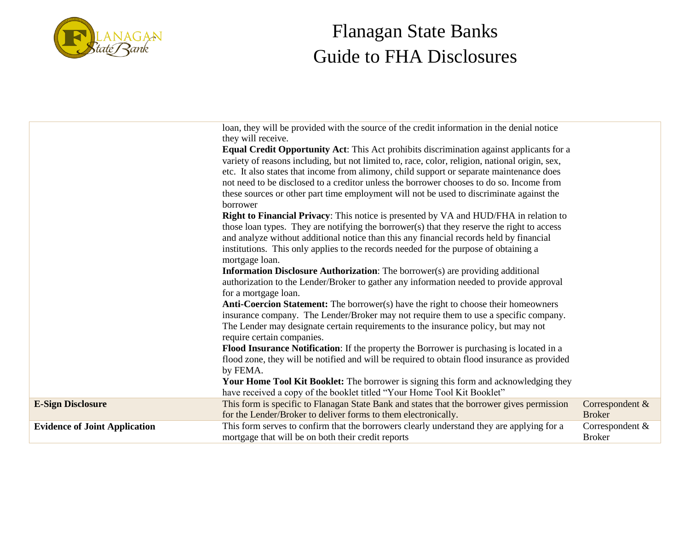

|                                      | loan, they will be provided with the source of the credit information in the denial notice                                                                   |                                  |
|--------------------------------------|--------------------------------------------------------------------------------------------------------------------------------------------------------------|----------------------------------|
|                                      | they will receive.                                                                                                                                           |                                  |
|                                      | <b>Equal Credit Opportunity Act:</b> This Act prohibits discrimination against applicants for a                                                              |                                  |
|                                      | variety of reasons including, but not limited to, race, color, religion, national origin, sex,                                                               |                                  |
|                                      | etc. It also states that income from alimony, child support or separate maintenance does                                                                     |                                  |
|                                      | not need to be disclosed to a creditor unless the borrower chooses to do so. Income from                                                                     |                                  |
|                                      | these sources or other part time employment will not be used to discriminate against the                                                                     |                                  |
|                                      | borrower                                                                                                                                                     |                                  |
|                                      | <b>Right to Financial Privacy:</b> This notice is presented by VA and HUD/FHA in relation to                                                                 |                                  |
|                                      | those loan types. They are notifying the borrower(s) that they reserve the right to access                                                                   |                                  |
|                                      | and analyze without additional notice than this any financial records held by financial                                                                      |                                  |
|                                      | institutions. This only applies to the records needed for the purpose of obtaining a                                                                         |                                  |
|                                      | mortgage loan.                                                                                                                                               |                                  |
|                                      | <b>Information Disclosure Authorization:</b> The borrower(s) are providing additional                                                                        |                                  |
|                                      | authorization to the Lender/Broker to gather any information needed to provide approval                                                                      |                                  |
|                                      | for a mortgage loan.                                                                                                                                         |                                  |
|                                      | <b>Anti-Coercion Statement:</b> The borrower(s) have the right to choose their homeowners                                                                    |                                  |
|                                      | insurance company. The Lender/Broker may not require them to use a specific company.                                                                         |                                  |
|                                      | The Lender may designate certain requirements to the insurance policy, but may not                                                                           |                                  |
|                                      | require certain companies.                                                                                                                                   |                                  |
|                                      | <b>Flood Insurance Notification:</b> If the property the Borrower is purchasing is located in a                                                              |                                  |
|                                      | flood zone, they will be notified and will be required to obtain flood insurance as provided                                                                 |                                  |
|                                      | by FEMA.                                                                                                                                                     |                                  |
|                                      | Your Home Tool Kit Booklet: The borrower is signing this form and acknowledging they                                                                         |                                  |
| <b>E-Sign Disclosure</b>             | have received a copy of the booklet titled "Your Home Tool Kit Booklet"                                                                                      |                                  |
|                                      | This form is specific to Flanagan State Bank and states that the borrower gives permission<br>for the Lender/Broker to deliver forms to them electronically. | Correspondent &<br><b>Broker</b> |
| <b>Evidence of Joint Application</b> | This form serves to confirm that the borrowers clearly understand they are applying for a                                                                    | Correspondent &                  |
|                                      | mortgage that will be on both their credit reports                                                                                                           | <b>Broker</b>                    |
|                                      |                                                                                                                                                              |                                  |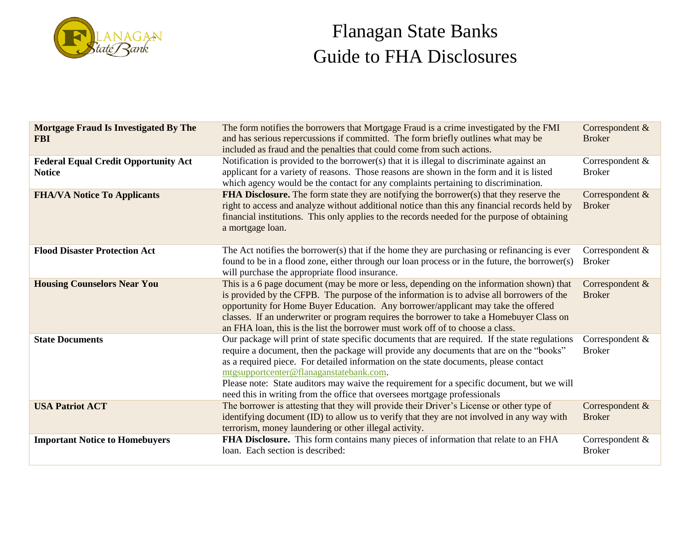

| <b>Mortgage Fraud Is Investigated By The</b><br><b>FBI</b>   | The form notifies the borrowers that Mortgage Fraud is a crime investigated by the FMI<br>and has serious repercussions if committed. The form briefly outlines what may be<br>included as fraud and the penalties that could come from such actions.                                                                                                                                                                                                                                                   | Correspondent &<br><b>Broker</b> |
|--------------------------------------------------------------|---------------------------------------------------------------------------------------------------------------------------------------------------------------------------------------------------------------------------------------------------------------------------------------------------------------------------------------------------------------------------------------------------------------------------------------------------------------------------------------------------------|----------------------------------|
| <b>Federal Equal Credit Opportunity Act</b><br><b>Notice</b> | Notification is provided to the borrower(s) that it is illegal to discriminate against an<br>applicant for a variety of reasons. Those reasons are shown in the form and it is listed<br>which agency would be the contact for any complaints pertaining to discrimination.                                                                                                                                                                                                                             | Correspondent &<br><b>Broker</b> |
| <b>FHA/VA Notice To Applicants</b>                           | <b>FHA Disclosure.</b> The form state they are notifying the borrower(s) that they reserve the<br>right to access and analyze without additional notice than this any financial records held by<br>financial institutions. This only applies to the records needed for the purpose of obtaining<br>a mortgage loan.                                                                                                                                                                                     | Correspondent &<br><b>Broker</b> |
| <b>Flood Disaster Protection Act</b>                         | The Act notifies the borrower(s) that if the home they are purchasing or refinancing is ever<br>found to be in a flood zone, either through our loan process or in the future, the borrower(s)<br>will purchase the appropriate flood insurance.                                                                                                                                                                                                                                                        | Correspondent &<br><b>Broker</b> |
| <b>Housing Counselors Near You</b>                           | This is a 6 page document (may be more or less, depending on the information shown) that<br>is provided by the CFPB. The purpose of the information is to advise all borrowers of the<br>opportunity for Home Buyer Education. Any borrower/applicant may take the offered<br>classes. If an underwriter or program requires the borrower to take a Homebuyer Class on<br>an FHA loan, this is the list the borrower must work off of to choose a class.                                                | Correspondent &<br><b>Broker</b> |
| <b>State Documents</b>                                       | Our package will print of state specific documents that are required. If the state regulations<br>require a document, then the package will provide any documents that are on the "books"<br>as a required piece. For detailed information on the state documents, please contact<br>mtgsupportcenter@flanaganstatebank.com.<br>Please note: State auditors may waive the requirement for a specific document, but we will<br>need this in writing from the office that oversees mortgage professionals | Correspondent &<br><b>Broker</b> |
| <b>USA Patriot ACT</b>                                       | The borrower is attesting that they will provide their Driver's License or other type of<br>identifying document (ID) to allow us to verify that they are not involved in any way with<br>terrorism, money laundering or other illegal activity.                                                                                                                                                                                                                                                        | Correspondent &<br><b>Broker</b> |
| <b>Important Notice to Homebuyers</b>                        | FHA Disclosure. This form contains many pieces of information that relate to an FHA<br>loan. Each section is described:                                                                                                                                                                                                                                                                                                                                                                                 | Correspondent &<br><b>Broker</b> |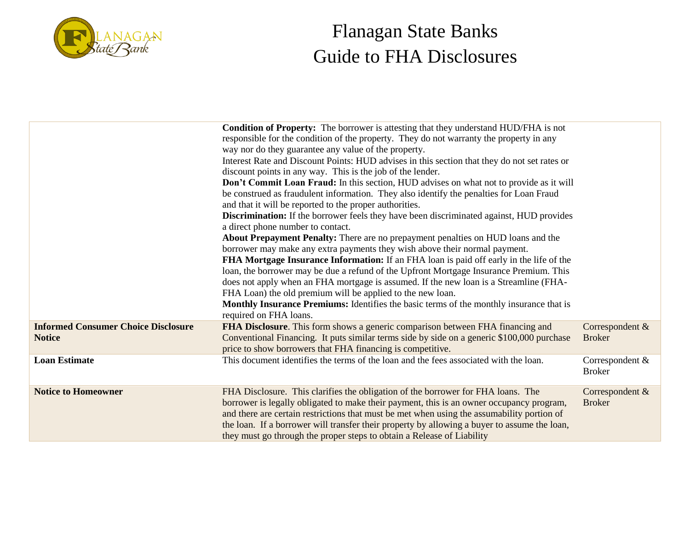

|                                                             | <b>Condition of Property:</b> The borrower is attesting that they understand HUD/FHA is not<br>responsible for the condition of the property. They do not warranty the property in any<br>way nor do they guarantee any value of the property.<br>Interest Rate and Discount Points: HUD advises in this section that they do not set rates or<br>discount points in any way. This is the job of the lender.<br>Don't Commit Loan Fraud: In this section, HUD advises on what not to provide as it will<br>be construed as fraudulent information. They also identify the penalties for Loan Fraud<br>and that it will be reported to the proper authorities.<br><b>Discrimination:</b> If the borrower feels they have been discriminated against, HUD provides<br>a direct phone number to contact.<br><b>About Prepayment Penalty:</b> There are no prepayment penalties on HUD loans and the<br>borrower may make any extra payments they wish above their normal payment.<br><b>FHA Mortgage Insurance Information:</b> If an FHA loan is paid off early in the life of the<br>loan, the borrower may be due a refund of the Upfront Mortgage Insurance Premium. This<br>does not apply when an FHA mortgage is assumed. If the new loan is a Streamline (FHA-<br>FHA Loan) the old premium will be applied to the new loan.<br>Monthly Insurance Premiums: Identifies the basic terms of the monthly insurance that is<br>required on FHA loans. |                                  |
|-------------------------------------------------------------|--------------------------------------------------------------------------------------------------------------------------------------------------------------------------------------------------------------------------------------------------------------------------------------------------------------------------------------------------------------------------------------------------------------------------------------------------------------------------------------------------------------------------------------------------------------------------------------------------------------------------------------------------------------------------------------------------------------------------------------------------------------------------------------------------------------------------------------------------------------------------------------------------------------------------------------------------------------------------------------------------------------------------------------------------------------------------------------------------------------------------------------------------------------------------------------------------------------------------------------------------------------------------------------------------------------------------------------------------------------------------------------------------------------------------------------------------------|----------------------------------|
| <b>Informed Consumer Choice Disclosure</b><br><b>Notice</b> | FHA Disclosure. This form shows a generic comparison between FHA financing and<br>Conventional Financing. It puts similar terms side by side on a generic \$100,000 purchase<br>price to show borrowers that FHA financing is competitive.                                                                                                                                                                                                                                                                                                                                                                                                                                                                                                                                                                                                                                                                                                                                                                                                                                                                                                                                                                                                                                                                                                                                                                                                             | Correspondent &<br><b>Broker</b> |
| <b>Loan Estimate</b>                                        | This document identifies the terms of the loan and the fees associated with the loan.                                                                                                                                                                                                                                                                                                                                                                                                                                                                                                                                                                                                                                                                                                                                                                                                                                                                                                                                                                                                                                                                                                                                                                                                                                                                                                                                                                  | Correspondent &<br><b>Broker</b> |
| <b>Notice to Homeowner</b>                                  | FHA Disclosure. This clarifies the obligation of the borrower for FHA loans. The<br>borrower is legally obligated to make their payment, this is an owner occupancy program,<br>and there are certain restrictions that must be met when using the assumability portion of<br>the loan. If a borrower will transfer their property by allowing a buyer to assume the loan,<br>they must go through the proper steps to obtain a Release of Liability                                                                                                                                                                                                                                                                                                                                                                                                                                                                                                                                                                                                                                                                                                                                                                                                                                                                                                                                                                                                   | Correspondent &<br><b>Broker</b> |